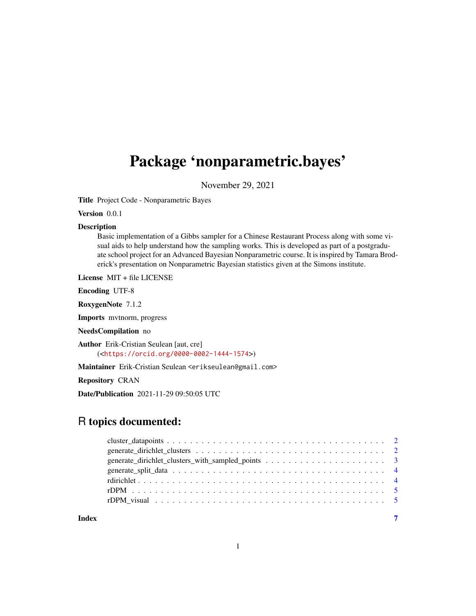# Package 'nonparametric.bayes'

November 29, 2021

Title Project Code - Nonparametric Bayes

Version 0.0.1

#### Description

Basic implementation of a Gibbs sampler for a Chinese Restaurant Process along with some visual aids to help understand how the sampling works. This is developed as part of a postgraduate school project for an Advanced Bayesian Nonparametric course. It is inspired by Tamara Broderick's presentation on Nonparametric Bayesian statistics given at the Simons institute.

License MIT + file LICENSE

Encoding UTF-8

RoxygenNote 7.1.2

Imports mvtnorm, progress

NeedsCompilation no

Author Erik-Cristian Seulean [aut, cre]

(<<https://orcid.org/0000-0002-1444-1574>>)

Maintainer Erik-Cristian Seulean <erikseulean@gmail.com>

Repository CRAN

Date/Publication 2021-11-29 09:50:05 UTC

## R topics documented:

| Index | $\overline{7}$ |
|-------|----------------|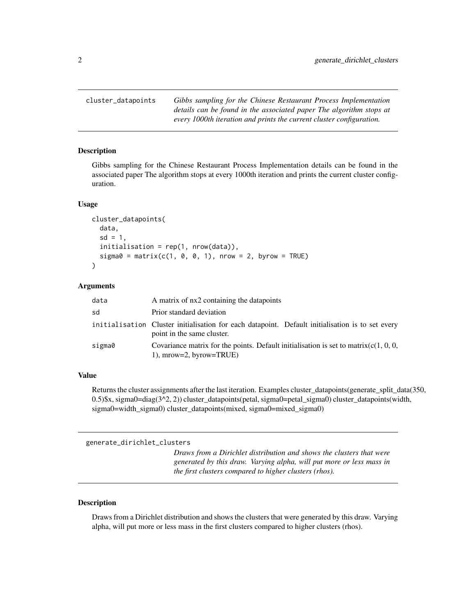<span id="page-1-0"></span>cluster\_datapoints *Gibbs sampling for the Chinese Restaurant Process Implementation details can be found in the associated paper The algorithm stops at every 1000th iteration and prints the current cluster configuration.*

#### Description

Gibbs sampling for the Chinese Restaurant Process Implementation details can be found in the associated paper The algorithm stops at every 1000th iteration and prints the current cluster configuration.

#### Usage

```
cluster_datapoints(
data,
sd = 1,
initialisation = rep(1, nrow(data)),
sigma = matrix(c(1, 0, 0, 1), nrow = 2, byrow = TRUE)\mathcal{L}
```
#### Arguments

| data   | A matrix of nx2 containing the datapoints                                                                                      |
|--------|--------------------------------------------------------------------------------------------------------------------------------|
| sd     | Prior standard deviation                                                                                                       |
|        | initialisation Cluster initialisation for each datapoint. Default initialisation is to set every<br>point in the same cluster. |
| sigma0 | Covariance matrix for the points. Default initialisation is set to matrix( $c(1, 0, 0, 0)$ )<br>$1$ , mrow=2, byrow=TRUE)      |

#### Value

Returns the cluster assignments after the last iteration. Examples cluster datapoints(generate split data(350, 0.5)\$x, sigma0=diag(3^2, 2)) cluster\_datapoints(petal, sigma0=petal\_sigma0) cluster\_datapoints(width, sigma0=width\_sigma0) cluster\_datapoints(mixed, sigma0=mixed\_sigma0)

generate\_dirichlet\_clusters

*Draws from a Dirichlet distribution and shows the clusters that were generated by this draw. Varying alpha, will put more or less mass in the first clusters compared to higher clusters (rhos).*

#### Description

Draws from a Dirichlet distribution and shows the clusters that were generated by this draw. Varying alpha, will put more or less mass in the first clusters compared to higher clusters (rhos).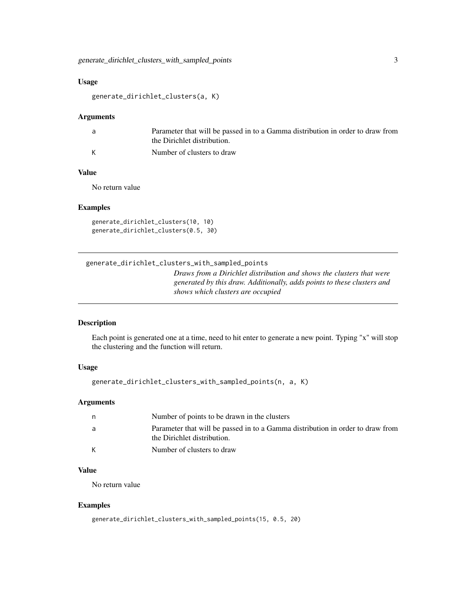#### <span id="page-2-0"></span>Usage

```
generate_dirichlet_clusters(a, K)
```
#### Arguments

| a, | Parameter that will be passed in to a Gamma distribution in order to draw from |
|----|--------------------------------------------------------------------------------|
|    | the Dirichlet distribution.                                                    |
| K  | Number of clusters to draw                                                     |

#### Value

No return value

#### Examples

generate\_dirichlet\_clusters(10, 10) generate\_dirichlet\_clusters(0.5, 30)

generate\_dirichlet\_clusters\_with\_sampled\_points

*Draws from a Dirichlet distribution and shows the clusters that were generated by this draw. Additionally, adds points to these clusters and shows which clusters are occupied*

#### Description

Each point is generated one at a time, need to hit enter to generate a new point. Typing "x" will stop the clustering and the function will return.

#### Usage

```
generate_dirichlet_clusters_with_sampled_points(n, a, K)
```
#### Arguments

| n | Number of points to be drawn in the clusters                                                                  |
|---|---------------------------------------------------------------------------------------------------------------|
| a | Parameter that will be passed in to a Gamma distribution in order to draw from<br>the Dirichlet distribution. |
| К | Number of clusters to draw                                                                                    |

#### Value

No return value

#### Examples

generate\_dirichlet\_clusters\_with\_sampled\_points(15, 0.5, 20)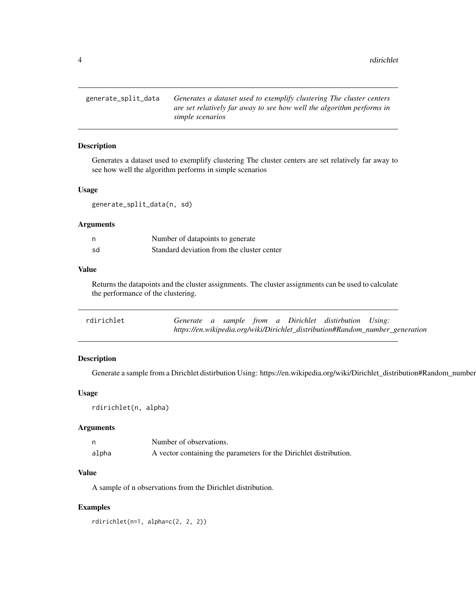<span id="page-3-0"></span>generate\_split\_data *Generates a dataset used to exemplify clustering The cluster centers are set relatively far away to see how well the algorithm performs in simple scenarios*

#### Description

Generates a dataset used to exemplify clustering The cluster centers are set relatively far away to see how well the algorithm performs in simple scenarios

#### Usage

generate\_split\_data(n, sd)

#### Arguments

| n  | Number of datapoints to generate           |
|----|--------------------------------------------|
| sd | Standard deviation from the cluster center |

#### Value

Returns the datapoints and the cluster assignments. The cluster assignments can be used to calculate the performance of the clustering.

| rdirichlet |  |  |  | Generate a sample from a Dirichlet distirbution Using:                        |  |
|------------|--|--|--|-------------------------------------------------------------------------------|--|
|            |  |  |  | https://en.wikipedia.org/wiki/Dirichlet_distribution#Random_number_generation |  |

#### Description

Generate a sample from a Dirichlet distirbution Using: https://en.wikipedia.org/wiki/Dirichlet\_distribution#Random\_number

#### Usage

rdirichlet(n, alpha)

#### Arguments

|       | Number of observations.                                            |
|-------|--------------------------------------------------------------------|
| alpha | A vector containing the parameters for the Dirichlet distribution. |

#### Value

A sample of n observations from the Dirichlet distribution.

#### Examples

rdirichlet(n=1, alpha=c(2, 2, 2))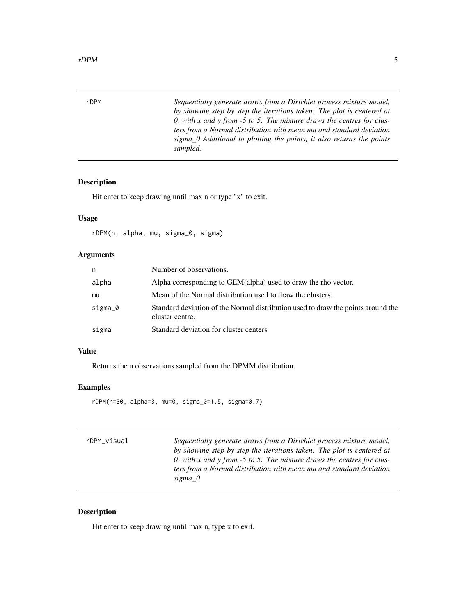<span id="page-4-0"></span>rDPM *Sequentially generate draws from a Dirichlet process mixture model, by showing step by step the iterations taken. The plot is centered at 0, with x and y from -5 to 5. The mixture draws the centres for clusters from a Normal distribution with mean mu and standard deviation sigma\_0 Additional to plotting the points, it also returns the points sampled.*

#### Description

Hit enter to keep drawing until max n or type "x" to exit.

#### Usage

rDPM(n, alpha, mu, sigma\_0, sigma)

#### Arguments

| n       | Number of observations.                                                                             |
|---------|-----------------------------------------------------------------------------------------------------|
| alpha   | Alpha corresponding to GEM(alpha) used to draw the rho vector.                                      |
| mu      | Mean of the Normal distribution used to draw the clusters.                                          |
| sigma_0 | Standard deviation of the Normal distribution used to draw the points around the<br>cluster centre. |
| sigma   | Standard deviation for cluster centers                                                              |

#### Value

Returns the n observations sampled from the DPMM distribution.

#### Examples

rDPM(n=30, alpha=3, mu=0, sigma\_0=1.5, sigma=0.7)

| rDPM_visual | Sequentially generate draws from a Dirichlet process mixture model,<br>by showing step by step the iterations taken. The plot is centered at<br>0, with x and y from -5 to 5. The mixture draws the centres for clus-<br>ters from a Normal distribution with mean mu and standard deviation<br>sigma 0 |
|-------------|---------------------------------------------------------------------------------------------------------------------------------------------------------------------------------------------------------------------------------------------------------------------------------------------------------|
|             |                                                                                                                                                                                                                                                                                                         |

#### Description

Hit enter to keep drawing until max n, type x to exit.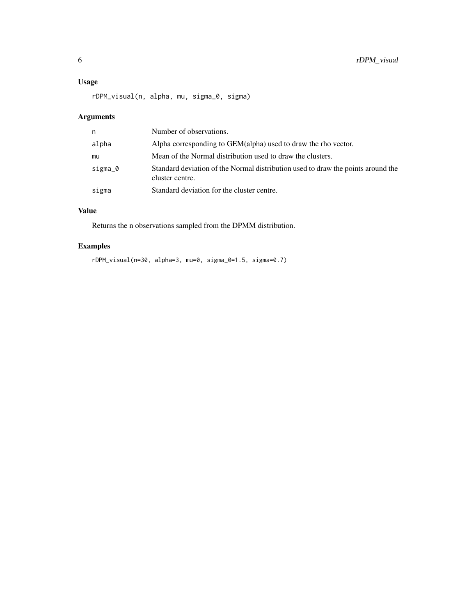#### Usage

rDPM\_visual(n, alpha, mu, sigma\_0, sigma)

#### Arguments

| n       | Number of observations.                                                                             |
|---------|-----------------------------------------------------------------------------------------------------|
| alpha   | Alpha corresponding to GEM(alpha) used to draw the rho vector.                                      |
| mu      | Mean of the Normal distribution used to draw the clusters.                                          |
| sigma_0 | Standard deviation of the Normal distribution used to draw the points around the<br>cluster centre. |
| sigma   | Standard deviation for the cluster centre.                                                          |

#### Value

Returns the n observations sampled from the DPMM distribution.

### Examples

rDPM\_visual(n=30, alpha=3, mu=0, sigma\_0=1.5, sigma=0.7)